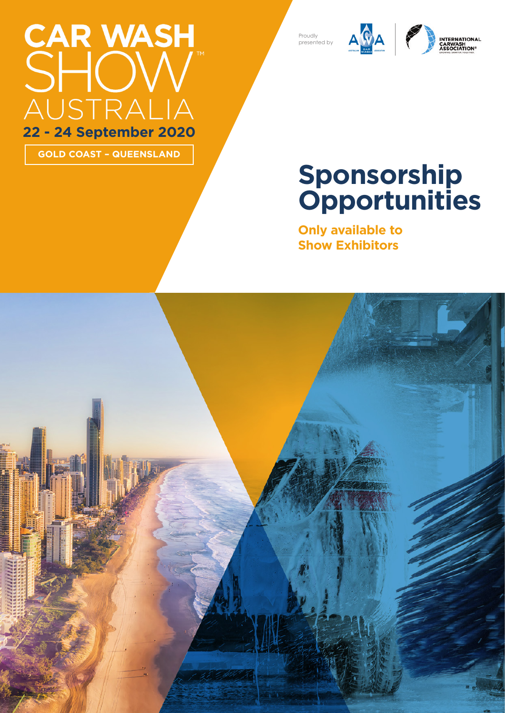# CAR WASH<br>SHOW AUSTRA **22 - 24 September 2020**

**GOLD COAST – QUEENSLAND**

#### Proudly presented by





### **Sponsorship Opportunities**

**Only available to Show Exhibitors**

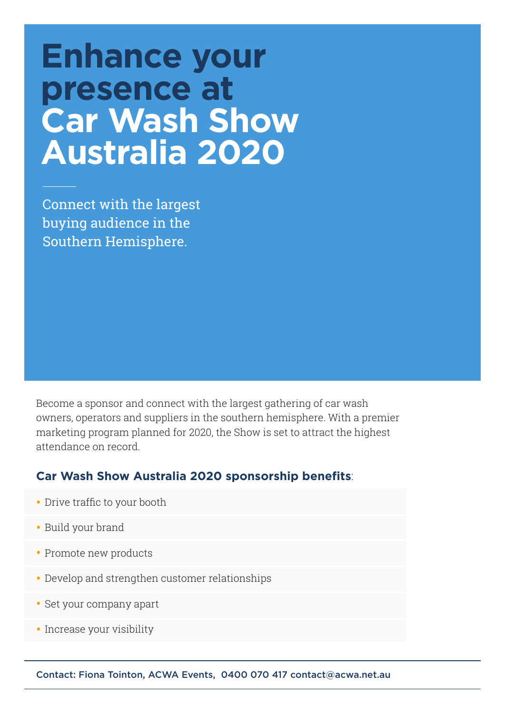### **Enhance your presence at Car Wash Show Australia 2020**

Connect with the largest buying audience in the Southern Hemisphere.

Become a sponsor and connect with the largest gathering of car wash owners, operators and suppliers in the southern hemisphere. With a premier marketing program planned for 2020, the Show is set to attract the highest attendance on record.

#### **Car Wash Show Australia 2020 sponsorship benefits**:

- Drive traffic to your booth
- Build your brand
- Promote new products
- Develop and strengthen customer relationships
- Set your company apart
- Increase your visibility

Contact: Fiona Tointon, ACWA Events, 0400 070 417 contact@acwa.net.au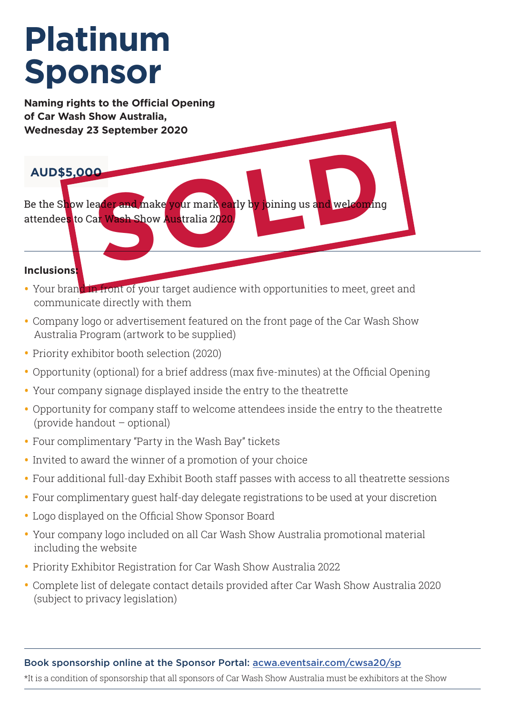## **Platinum Sponsor**

**Naming rights to the Official Opening of Car Wash Show Australia, Wednesday 23 September 2020**

#### **AUD\$5,000**

Be the Show leader and make your mark early by joining us and welcoming attendees to Car Wash Show Australia 2020. eader and make your mark early by joining us and welcoming

#### **Inclusions:**

- Your brand in front of your target audience with opportunities to meet, greet and communicate directly with them
- Company logo or advertisement featured on the front page of the Car Wash Show Australia Program (artwork to be supplied)
- Priority exhibitor booth selection (2020)
- Opportunity (optional) for a brief address (max five-minutes) at the Official Opening
- Your company signage displayed inside the entry to the theatrette
- Opportunity for company staff to welcome attendees inside the entry to the theatrette (provide handout – optional)
- Four complimentary "Party in the Wash Bay" tickets
- Invited to award the winner of a promotion of your choice
- Four additional full-day Exhibit Booth staff passes with access to all theatrette sessions
- Four complimentary guest half-day delegate registrations to be used at your discretion
- Logo displayed on the Official Show Sponsor Board
- Your company logo included on all Car Wash Show Australia promotional material including the website
- Priority Exhibitor Registration for Car Wash Show Australia 2022
- Complete list of delegate contact details provided after Car Wash Show Australia 2020 (subject to privacy legislation)

#### Book sponsorship online at the Sponsor Portal: acwa.eventsair.com/cwsa20/sp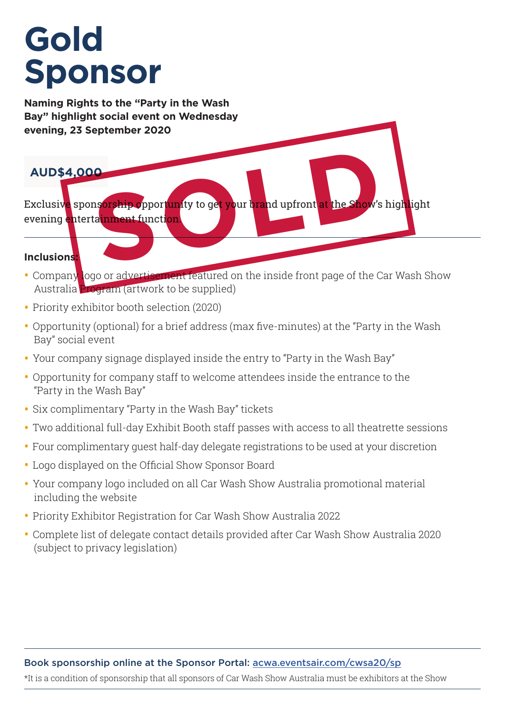### **Gold Sponsor**

**Naming Rights to the "Party in the Wash Bay" highlight social event on Wednesday evening, 23 September 2020**

#### **AUD\$4,000**

Exclusiv<mark>e</mark> spons<mark>orship o</mark>pport<mark>un</mark>ity to get your brand upfront at the Show's highlight evening entertainment function. **O**<br>Description of the sport of the sport of the sport of the show's

#### **Inclusions:**

- Company logo or advertisement featured on the inside front page of the Car Wash Show Australia Program (artwork to be supplied)
- Priority exhibitor booth selection (2020)
- Opportunity (optional) for a brief address (max five-minutes) at the "Party in the Wash Bay" social event
- Your company signage displayed inside the entry to "Party in the Wash Bay"
- Opportunity for company staff to welcome attendees inside the entrance to the "Party in the Wash Bay"
- Six complimentary "Party in the Wash Bay" tickets
- Two additional full-day Exhibit Booth staff passes with access to all theatrette sessions
- Four complimentary guest half-day delegate registrations to be used at your discretion
- Logo displayed on the Official Show Sponsor Board
- Your company logo included on all Car Wash Show Australia promotional material including the website
- Priority Exhibitor Registration for Car Wash Show Australia 2022
- Complete list of delegate contact details provided after Car Wash Show Australia 2020 (subject to privacy legislation)

#### Book sponsorship online at the Sponsor Portal: acwa.eventsair.com/cwsa20/sp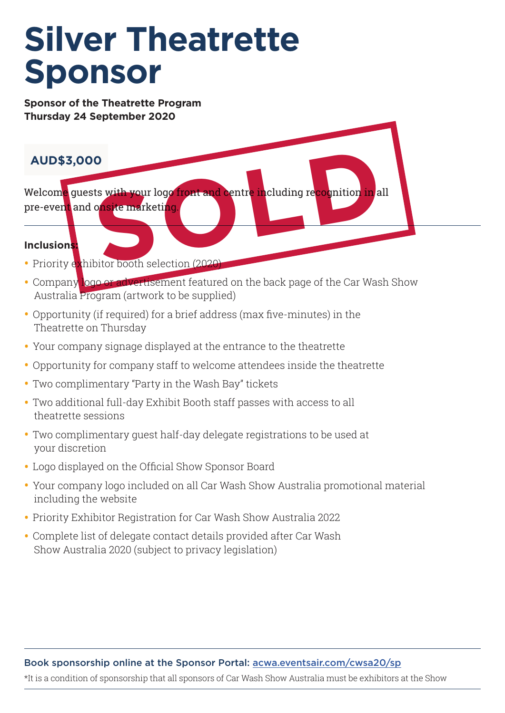### **Silver Theatrette Sponsor**

**Sponsor of the Theatrette Program Thursday 24 September 2020**

#### **AUD\$3,000**

Welcom<mark>e</mark> guests with your logo front and centre including re<mark>cog</mark>nition in all pre-event and onsite marketing. **S**<br> **SOCIET AND SOLUTION CONSTANT CONSTANT CONSTANT OF A CONSTANT OF A CONSTANT OF A CONSTANT OF A CONSTANT OF A CONSTANT OF A CONSTANT OF A CONSTANT OF A CONSTANT OF A CONSTANT OF A CONSTANT OF A CONSTANT OF A CONSTANT O** 

#### **Inclusions:**

- Priority exhibitor booth selection (2020)
- Company logo or advertisement featured on the back page of the Car Wash Show Australia Program (artwork to be supplied)
- Opportunity (if required) for a brief address (max five-minutes) in the Theatrette on Thursday
- Your company signage displayed at the entrance to the theatrette
- Opportunity for company staff to welcome attendees inside the theatrette
- Two complimentary "Party in the Wash Bay" tickets
- Two additional full-day Exhibit Booth staff passes with access to all theatrette sessions
- Two complimentary guest half-day delegate registrations to be used at your discretion
- Logo displayed on the Official Show Sponsor Board
- Your company logo included on all Car Wash Show Australia promotional material including the website
- Priority Exhibitor Registration for Car Wash Show Australia 2022
- Complete list of delegate contact details provided after Car Wash Show Australia 2020 (subject to privacy legislation)

#### Book sponsorship online at the Sponsor Portal: acwa.eventsair.com/cwsa20/sp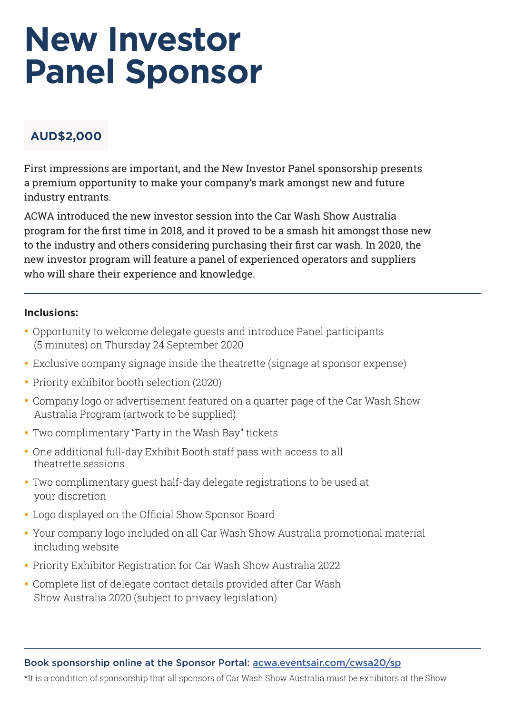### **New Investor Panel Sponsor**

#### **AUD\$2,000**

First impressions are important, and the New Investor Panel sponsorship presents a premium opportunity to make your company's mark amongst new and future industry entrants.

ACWA introduced the new investor session into the Car Wash Show Australia program for the first time in 2018, and it proved to be a smash hit amongst those new to the industry and others considering purchasing their first car wash. In 2020, the new investor program will feature a panel of experienced operators and suppliers who will share their experience and knowledge.

#### **Inclusions:**

- Opportunity to welcome delegate guests and introduce Panel participants (5 minutes) on Thursday 24 September 2020
- Exclusive company signage inside the theatrette (signage at sponsor expense)
- Priority exhibitor booth selection (2020)
- Company logo or advertisement featured on a quarter page of the Car Wash Show Australia Program (artwork to be supplied)
- Two complimentary "Party in the Wash Bay" tickets
- One additional full-day Exhibit Booth staff pass with access to all theatrette sessions
- Two complimentary guest half-day delegate registrations to be used at your discretion
- Logo displayed on the Official Show Sponsor Board
- Your company logo included on all Car Wash Show Australia promotional material including website
- Priority Exhibitor Registration for Car Wash Show Australia 2022
- Complete list of delegate contact details provided after Car Wash Show Australia 2020 (subject to privacy legislation)

Book sponsorship online at the Sponsor Portal: acwa.eventsair.com/cwsa20/sp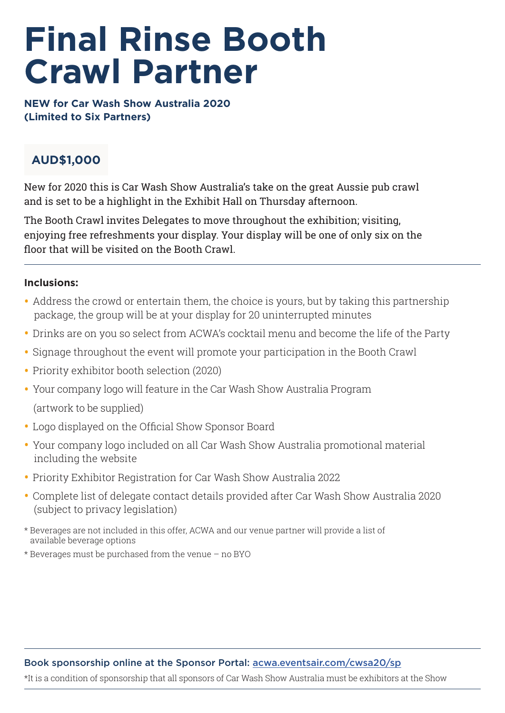### **Final Rinse Booth Crawl Partner**

**NEW for Car Wash Show Australia 2020 (Limited to Six Partners)**

#### **AUD\$1,000**

New for 2020 this is Car Wash Show Australia's take on the great Aussie pub crawl and is set to be a highlight in the Exhibit Hall on Thursday afternoon.

The Booth Crawl invites Delegates to move throughout the exhibition; visiting, enjoying free refreshments your display. Your display will be one of only six on the floor that will be visited on the Booth Crawl.

#### **Inclusions:**

- Address the crowd or entertain them, the choice is yours, but by taking this partnership package, the group will be at your display for 20 uninterrupted minutes
- Drinks are on you so select from ACWA's cocktail menu and become the life of the Party
- Signage throughout the event will promote your participation in the Booth Crawl
- Priority exhibitor booth selection (2020)
- Your company logo will feature in the Car Wash Show Australia Program (artwork to be supplied)
- Logo displayed on the Official Show Sponsor Board
- Your company logo included on all Car Wash Show Australia promotional material including the website
- Priority Exhibitor Registration for Car Wash Show Australia 2022
- Complete list of delegate contact details provided after Car Wash Show Australia 2020 (subject to privacy legislation)
- \* Beverages are not included in this offer, ACWA and our venue partner will provide a list of available beverage options
- \* Beverages must be purchased from the venue no BYO

#### Book sponsorship online at the Sponsor Portal: acwa.eventsair.com/cwsa20/sp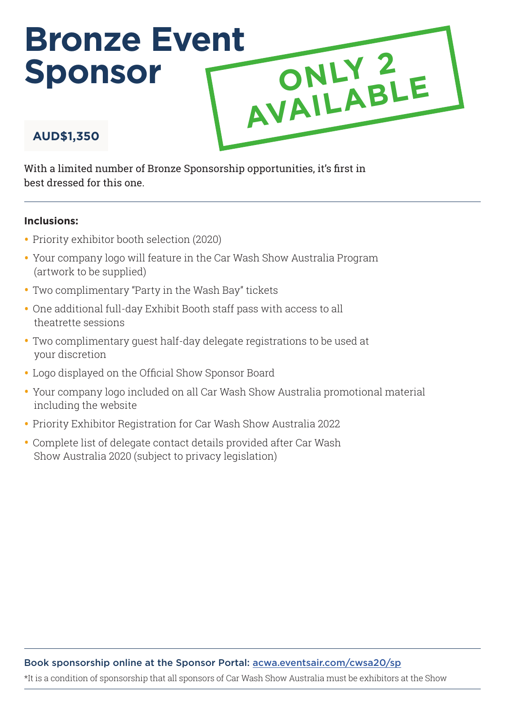### **Bronze Event Sponsor AUD\$1,350 ONLY 2 AVAILABLE**

With a limited number of Bronze Sponsorship opportunities, it's first in best dressed for this one.

#### **Inclusions:**

- Priority exhibitor booth selection (2020)
- Your company logo will feature in the Car Wash Show Australia Program (artwork to be supplied)
- Two complimentary "Party in the Wash Bay" tickets
- One additional full-day Exhibit Booth staff pass with access to all theatrette sessions
- Two complimentary guest half-day delegate registrations to be used at your discretion
- Logo displayed on the Official Show Sponsor Board
- Your company logo included on all Car Wash Show Australia promotional material including the website
- Priority Exhibitor Registration for Car Wash Show Australia 2022
- Complete list of delegate contact details provided after Car Wash Show Australia 2020 (subject to privacy legislation)

#### Book sponsorship online at the Sponsor Portal: acwa.eventsair.com/cwsa20/sp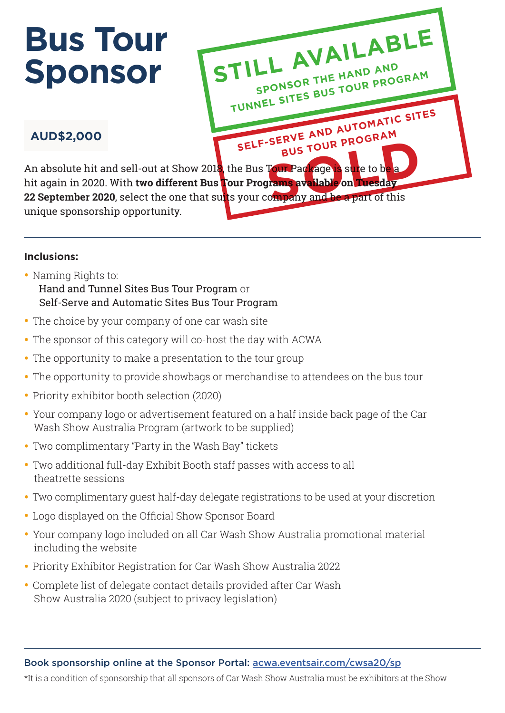## **Bus Tour Sponsor**



#### **AUD\$2,000**

unique sponsorship opportunity.

#### **Inclusions:**

- Naming Rights to: Hand and Tunnel Sites Bus Tour Program or Self-Serve and Automatic Sites Bus Tour Program
- The choice by your company of one car wash site
- The sponsor of this category will co-host the day with ACWA
- The opportunity to make a presentation to the tour group
- The opportunity to provide showbags or merchandise to attendees on the bus tour
- Priority exhibitor booth selection (2020)
- Your company logo or advertisement featured on a half inside back page of the Car Wash Show Australia Program (artwork to be supplied)
- Two complimentary "Party in the Wash Bay" tickets
- Two additional full-day Exhibit Booth staff passes with access to all theatrette sessions
- Two complimentary guest half-day delegate registrations to be used at your discretion
- Logo displayed on the Official Show Sponsor Board
- Your company logo included on all Car Wash Show Australia promotional material including the website
- Priority Exhibitor Registration for Car Wash Show Australia 2022
- Complete list of delegate contact details provided after Car Wash Show Australia 2020 (subject to privacy legislation)

#### Book sponsorship online at the Sponsor Portal: acwa.eventsair.com/cwsa20/sp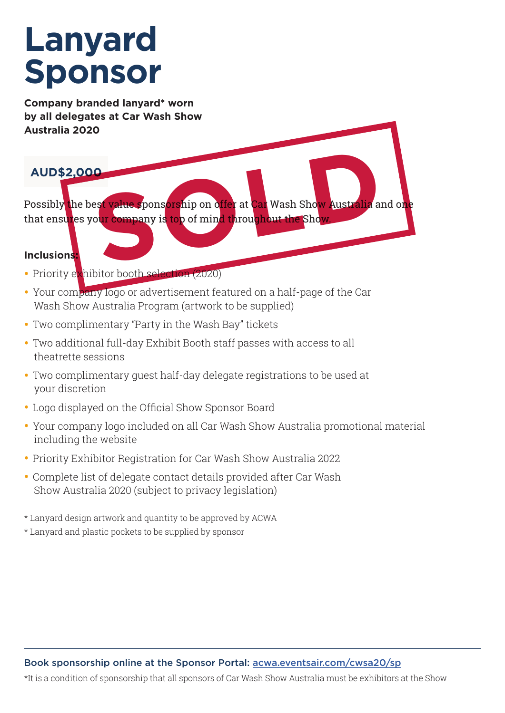### **Lanyard Sponsor**

**Company branded lanyard\* worn by all delegates at Car Wash Show Australia 2020**

#### **AUD\$2,000**

Possibly the best value spons<mark>ors</mark>hip on offer at Car Wash Show Australia and one that ensures your company is top of mind throughout the Show. est value sponsorship on offer at Car Wash Show Australia a

#### **Inclusions:**

- Priority exhibitor booth selection (2020)
- Your company logo or advertisement featured on a half-page of the Car Wash Show Australia Program (artwork to be supplied)
- Two complimentary "Party in the Wash Bay" tickets
- Two additional full-day Exhibit Booth staff passes with access to all theatrette sessions
- Two complimentary guest half-day delegate registrations to be used at your discretion
- Logo displayed on the Official Show Sponsor Board
- Your company logo included on all Car Wash Show Australia promotional material including the website
- Priority Exhibitor Registration for Car Wash Show Australia 2022
- Complete list of delegate contact details provided after Car Wash Show Australia 2020 (subject to privacy legislation)
- \* Lanyard design artwork and quantity to be approved by ACWA
- \* Lanyard and plastic pockets to be supplied by sponsor

#### Book sponsorship online at the Sponsor Portal: acwa.eventsair.com/cwsa20/sp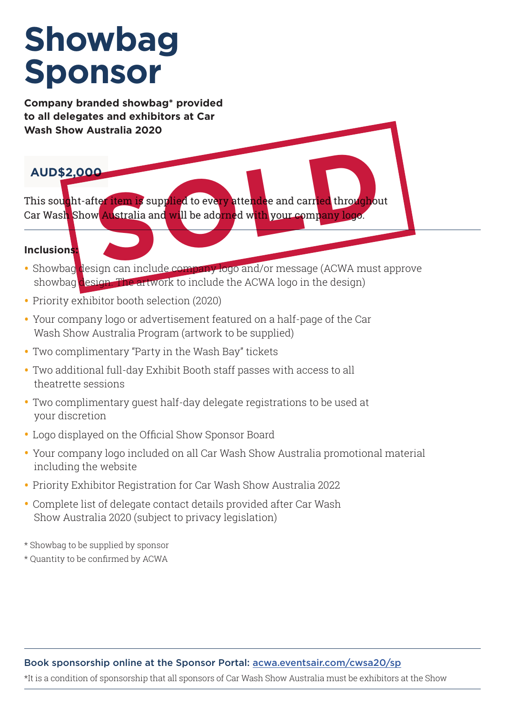## **Showbag Sponsor**

**Company branded showbag\* provided to all delegates and exhibitors at Car Wash Show Australia 2020**

#### **AUD\$2,000**

This sought-after item is supplied to every attendee and carried throughout Car Wash Show Australia and will be adorned with your company logo. **SOCIET AND IS SUPPLIED TO EVERY attendee and carried throughout Australia and will be adorned with your company loge.** 

#### **Inclusions:**

- Showbag design can include company logo and/or message (ACWA must approve showbag design. The artwork to include the ACWA logo in the design)
- Priority exhibitor booth selection (2020)
- Your company logo or advertisement featured on a half-page of the Car Wash Show Australia Program (artwork to be supplied)
- Two complimentary "Party in the Wash Bay" tickets
- Two additional full-day Exhibit Booth staff passes with access to all theatrette sessions
- Two complimentary guest half-day delegate registrations to be used at your discretion
- Logo displayed on the Official Show Sponsor Board
- Your company logo included on all Car Wash Show Australia promotional material including the website
- Priority Exhibitor Registration for Car Wash Show Australia 2022
- Complete list of delegate contact details provided after Car Wash Show Australia 2020 (subject to privacy legislation)
- \* Showbag to be supplied by sponsor
- \* Quantity to be confirmed by ACWA

#### Book sponsorship online at the Sponsor Portal: acwa.eventsair.com/cwsa20/sp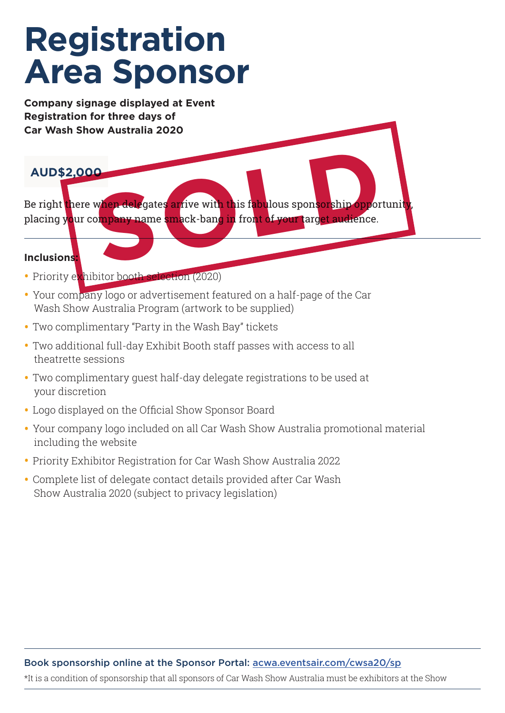### **Registration Area Sponsor**

**Company signage displayed at Event Registration for three days of Car Wash Show Australia 2020**

#### **AUD\$2,000**

Be right there w<mark>hen dele</mark>gates arrive with this fabulous sponsorship opportunity, placing your company name smack-bang in front of your target audience. When delegates arrive with this fabulous sponsorship oppor

#### **Inclusions:**

- Priority exhibitor booth selection (2020)
- Your company logo or advertisement featured on a half-page of the Car Wash Show Australia Program (artwork to be supplied)
- Two complimentary "Party in the Wash Bay" tickets
- Two additional full-day Exhibit Booth staff passes with access to all theatrette sessions
- Two complimentary guest half-day delegate registrations to be used at your discretion
- Logo displayed on the Official Show Sponsor Board
- Your company logo included on all Car Wash Show Australia promotional material including the website
- Priority Exhibitor Registration for Car Wash Show Australia 2022
- Complete list of delegate contact details provided after Car Wash Show Australia 2020 (subject to privacy legislation)

#### Book sponsorship online at the Sponsor Portal: acwa.eventsair.com/cwsa20/sp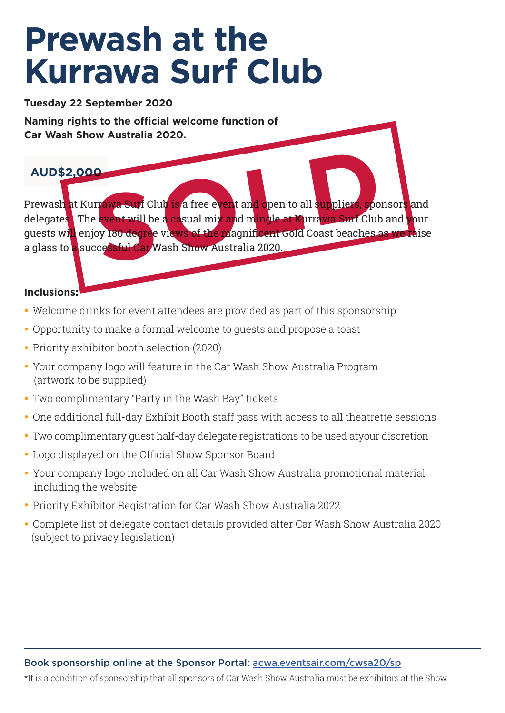### **Prewash at the Kurrawa Surf Club**

**Tuesday 22 September 2020**

**Naming rights to the official welcome function of Car Wash Show Australia 2020.**

#### **AUD\$2,000**

Prewash at Kurrawa Surf Club is a free event and open to all suppliers, sponsors and delegate<mark>s.</mark> The event will be a casual mix and mingle at Kurrawa Surf Club and **y**our guests will enjoy 180 degree views of the magnificent Gold Coast beaches as we raise a glass to a successful Car Wash Show Australia 2020. **SOCIET AND STATE SERVE AND SERVER SPONSORER SPONSORER SPONSORER SPONSORER SPONSORER SPONSORER SPONSORER SPONSORER SPONSORER SPONSORER SPONSORER SPONSORER SPONSORER SPONSORER SPONSORER SPONSORER SPONSORER SPONSORER SPONSOR** 

#### **Inclusions:**

- Welcome drinks for event attendees are provided as part of this sponsorship
- Opportunity to make a formal welcome to guests and propose a toast
- Priority exhibitor booth selection (2020)
- Your company logo will feature in the Car Wash Show Australia Program (artwork to be supplied)
- Two complimentary "Party in the Wash Bay" tickets
- One additional full-day Exhibit Booth staff pass with access to all theatrette sessions
- Two complimentary guest half-day delegate registrations to be used atyour discretion
- Logo displayed on the Official Show Sponsor Board
- Your company logo included on all Car Wash Show Australia promotional material including the website
- Priority Exhibitor Registration for Car Wash Show Australia 2022
- Complete list of delegate contact details provided after Car Wash Show Australia 2020 (subject to privacy legislation)

#### Book sponsorship online at the Sponsor Portal: acwa.eventsair.com/cwsa20/sp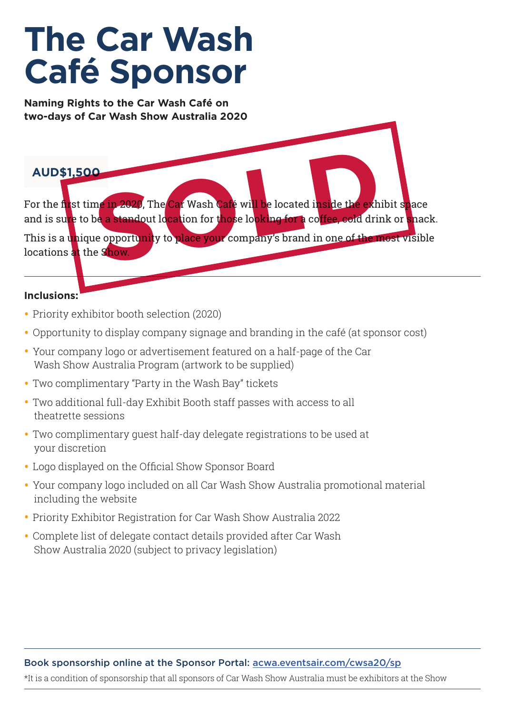## **The Car Wash Café Sponsor**

**Naming Rights to the Car Wash Café on two-days of Car Wash Show Australia 2020**

#### **AUD\$1,500**

For the first time in 2020, The Car Wash Café will be located i<mark>nside the ex</mark>hibit space and is sure to be a standout location for those looking for a coffee, cold drink or snack. This is a unique opportunity to place your company's brand in one of the most visible locations at the Show. **Solution 12020, The Car Wash Café will be located inside the exh<br>be a standout location for those looking for a coffee, cold dring<br>the opportunity to place your company's brand in one of the n<br>e Show.** 

#### **Inclusions:**

- Priority exhibitor booth selection (2020)
- Opportunity to display company signage and branding in the café (at sponsor cost)
- Your company logo or advertisement featured on a half-page of the Car Wash Show Australia Program (artwork to be supplied)
- Two complimentary "Party in the Wash Bay" tickets
- Two additional full-day Exhibit Booth staff passes with access to all theatrette sessions
- Two complimentary guest half-day delegate registrations to be used at your discretion
- Logo displayed on the Official Show Sponsor Board
- Your company logo included on all Car Wash Show Australia promotional material including the website
- Priority Exhibitor Registration for Car Wash Show Australia 2022
- Complete list of delegate contact details provided after Car Wash Show Australia 2020 (subject to privacy legislation)

#### Book sponsorship online at the Sponsor Portal: acwa.eventsair.com/cwsa20/sp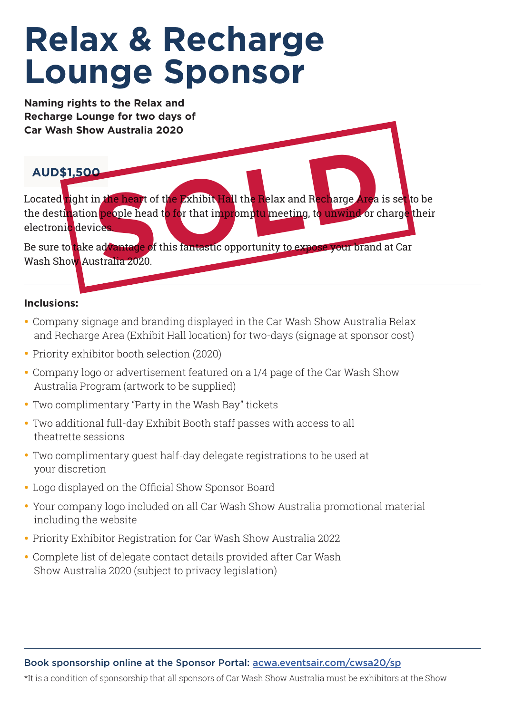## **Relax & Recharge Lounge Sponsor**

**Naming rights to the Relax and Recharge Lounge for two days of Car Wash Show Australia 2020**

#### **AUD\$1,500**

Located right in the heart of the Exhibit Hall the Relax and Recharge Area is set to be the desti<mark>n</mark>ation people head to for that impromptu meeting, to unwind or charge their electronic devices. In the heart of the Exhibit Hall the Relax and Recharge Area<br>
In people head to for that impromptu meeting, to unwind or c<br>
advantage of this fantastic opportunity to expose your brand<br>
Istralia 2020

Be sure to take advantage of this fantastic opportunity to expose your brand at Car Wash Show Australia 2020.

#### **Inclusions:**

- Company signage and branding displayed in the Car Wash Show Australia Relax and Recharge Area (Exhibit Hall location) for two-days (signage at sponsor cost)
- Priority exhibitor booth selection (2020)
- Company logo or advertisement featured on a 1/4 page of the Car Wash Show Australia Program (artwork to be supplied)
- Two complimentary "Party in the Wash Bay" tickets
- Two additional full-day Exhibit Booth staff passes with access to all theatrette sessions
- Two complimentary guest half-day delegate registrations to be used at your discretion
- Logo displayed on the Official Show Sponsor Board
- Your company logo included on all Car Wash Show Australia promotional material including the website
- Priority Exhibitor Registration for Car Wash Show Australia 2022
- Complete list of delegate contact details provided after Car Wash Show Australia 2020 (subject to privacy legislation)

#### Book sponsorship online at the Sponsor Portal: acwa.eventsair.com/cwsa20/sp